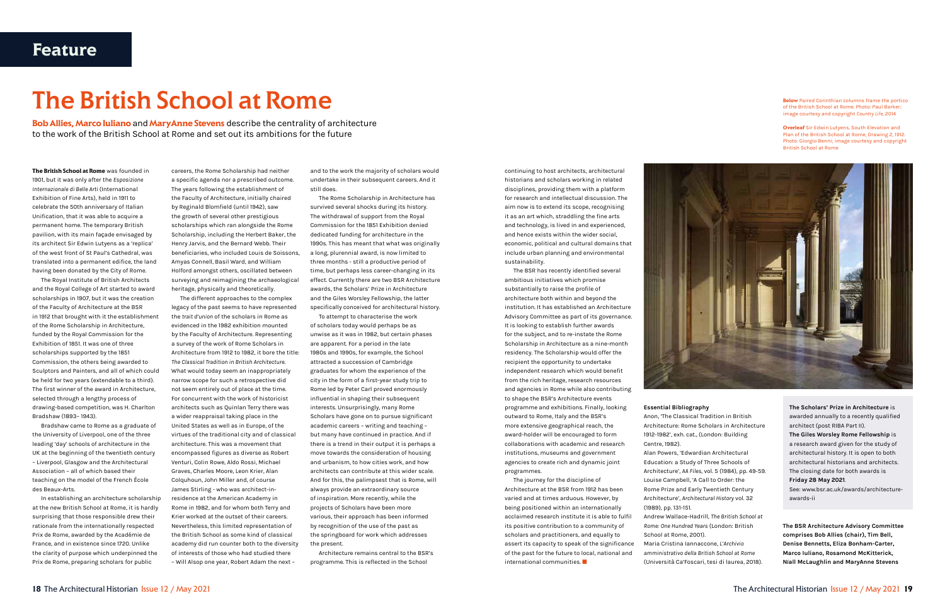## The British School at Rome

continuing to host architects, architectural historians and scholars working in related disciplines, providing them with a platform for research and intellectual discussion. The aim now is to extend its scope, recognising it as an art which, straddling the fine arts and technology, is lived in and experienced, and hence exists within the wider social, economic, political and cultural domains that include urban planning and environmental sustainability.

The BSR has recently identified several ambitious initiatives which promise substantially to raise the profile of architecture both within and beyond the institution. It has established an Architecture Advisory Committee as part of its governance. It is looking to establish further awards for the subject, and to re-instate the Rome Scholarship in Architecture as a nine-month residency. The Scholarship would offer the recipient the opportunity to undertake independent research which would benefit from the rich heritage, research resources and agencies in Rome while also contributing to shape the BSR's Architecture events programme and exhibitions. Finally, looking outward to Rome, Italy and the BSR's more extensive geographical reach, the award-holder will be encouraged to form collaborations with academic and research institutions, museums and government agencies to create rich and dynamic joint programmes.

The journey for the discipline of Architecture at the BSR from 1912 has been varied and at times arduous. However, by being positioned within an internationally acclaimed research institute it is able to fulfil its positive contribution to a community of scholars and practitioners, and equally to assert its capacity to speak of the significance of the past for the future to local, national and international communities. Q

**The British School at Rome** was founded in 1901, but it was only after the Esposizione Internazionale di Belle Arti (International Exhibition of Fine Arts), held in 1911 to celebrate the 50th anniversary of Italian Unification, that it was able to acquire a permanent home. The temporary British pavilion, with its main façade envisaged by its architect Sir Edwin Lutyens as a 'replica' of the west front of St Paul's Cathedral, was translated into a permanent edifice, the land having been donated by the City of Rome.

The Royal Institute of British Architects and the Royal College of Art started to award scholarships in 1907, but it was the creation of the Faculty of Architecture at the BSR in 1912 that brought with it the establishment of the Rome Scholarship in Architecture, funded by the Royal Commission for the Exhibition of 1851. It was one of three scholarships supported by the 1851 Commission, the others being awarded to Sculptors and Painters, and all of which could be held for two years (extendable to a third). The first winner of the award in Architecture, selected through a lengthy process of drawing-based competition, was H. Charlton Bradshaw (1893– 1943).

Bradshaw came to Rome as a graduate of the University of Liverpool, one of the three leading 'day' schools of architecture in the UK at the beginning of the twentieth century – Liverpool, Glasgow and the Architectural Association – all of which based their teaching on the model of the French École des Beaux-Arts.

In establishing an architecture scholarship at the new British School at Rome, it is hardly surprising that those responsible drew their rationale from the internationally respected Prix de Rome, awarded by the Académie de France, and in existence since 1720. Unlike the clarity of purpose which underpinned the Prix de Rome, preparing scholars for public

**Below** Paired Corinthian columns frame the portico of the British School at Rome. Photo: Paul Barker; image courtesy and copyright Country Life, 2014

**Overleaf** Sir Edwin Lutyens, South Elevation and Plan of the British School at Rome, Drawing 2, 1912. Photo: Giorgio Benni; image courtesy and copyright British School at Rome



careers, the Rome Scholarship had neither a specific agenda nor a prescribed outcome. The years following the establishment of the Faculty of Architecture, initially chaired by Reginald Blomfield (until 1942), saw the growth of several other prestigious scholarships which ran alongside the Rome Scholarship, including the Herbert Baker, the Henry Jarvis, and the Bernard Webb. Their beneficiaries, who included Louis de Soissons, Amyas Connell, Basil Ward, and William Holford amongst others, oscillated between surveying and reimagining the archaeological heritage, physically and theoretically.

The different approaches to the complex legacy of the past seems to have represented the trait d'union of the scholars in Rome as evidenced in the 1982 exhibition mounted by the Faculty of Architecture. Representing a survey of the work of Rome Scholars in Architecture from 1912 to 1982, it bore the title: The Classical Tradition in British Architecture. What would today seem an inappropriately narrow scope for such a retrospective did not seem entirely out of place at the time. For concurrent with the work of historicist architects such as Quinlan Terry there was a wider reappraisal taking place in the United States as well as in Europe, of the virtues of the traditional city and of classical architecture. This was a movement that encompassed figures as diverse as Robert Venturi, Colin Rowe, Aldo Rossi, Michael Graves, Charles Moore, Leon Krier, Alan Colquhoun, John Miller and, of course James Stirling - who was architect-inresidence at the American Academy in Rome in 1982, and for whom both Terry and Krier worked at the outset of their careers. Nevertheless, this limited representation of the British School as some kind of classical academy did run counter both to the diversity of interests of those who had studied there – Will Alsop one year, Robert Adam the next –

**Bob Allies, Marco Iuliano** and **MaryAnne Stevens** describe the centrality of architecture to the work of the British School at Rome and set out its ambitions for the future

> and to the work the majority of scholars would undertake in their subsequent careers. And it still does.

The Rome Scholarship in Architecture has survived several shocks during its history. The withdrawal of support from the Royal Commission for the 1851 Exhibition denied dedicated funding for architecture in the 1990s. This has meant that what was originally a long, plurennial award, is now limited to three months - still a productive period of time, but perhaps less career-changing in its effect. Currently there are two BSR Architecture awards, the Scholars' Prize in Architecture and the Giles Worsley Fellowship, the latter specifically conceived for architectural history.

To attempt to characterise the work of scholars today would perhaps be as unwise as it was in 1982, but certain phases are apparent. For a period in the late 1980s and 1990s, for example, the School attracted a succession of Cambridge graduates for whom the experience of the city in the form of a first-year study trip to Rome led by Peter Carl proved enormously influential in shaping their subsequent interests. Unsurprisingly, many Rome Scholars have gone on to pursue significant academic careers – writing and teaching – but many have continued in practice. And if there is a trend in their output it is perhaps a move towards the consideration of housing and urbanism, to how cities work, and how architects can contribute at this wider scale. And for this, the palimpsest that is Rome, will always provide an extraordinary source of inspiration. More recently, while the projects of Scholars have been more various, their approach has been informed by recognition of the use of the past as the springboard for work which addresses the present.

Architecture remains central to the BSR's programme. This is reflected in the School

Anon, 'The Classical Tradition in British Architecture: Rome Scholars in Architecture 1912-1982', exh. cat., (London: Building

Essential Bibliography Centre, 1982). (1989), pp. 131-151. School at Rome, 2001).

Alan Powers, 'Edwardian Architectural Education: a Study of Three Schools of Architecture', AA Files, vol. 5 (1984), pp. 49-59. Louise Campbell, 'A Call to Order: the Rome Prize and Early Twentieth Century Architecture', Architectural History vol. 32

Andrew Wallace-Hadrill, The British School at Rome: One Hundred Years (London: British

Maria Cristina Iannaccone, L'Archivio amministrativo della British School at Rome (Università Ca'Foscari, tesi di laurea, 2018). The Scholars' Prize in Architecture is awarded annually to a recently qualified architect (post RIBA Part II).

The Giles Worsley Rome Fellowship is a research award given for the study of architectural history. It is open to both architectural historians and architects. The closing date for both awards is Friday 28 May 2021.

See: www.bsr.ac.uk/awards/architectureawards-ii

The BSR Architecture Advisory Committee comprises Bob Allies (chair), Tim Bell, Denise Bennetts, Eliza Bonham-Carter, Marco Iuliano, Rosamond McKitterick, Níall McLaughlin and MaryAnne Stevens